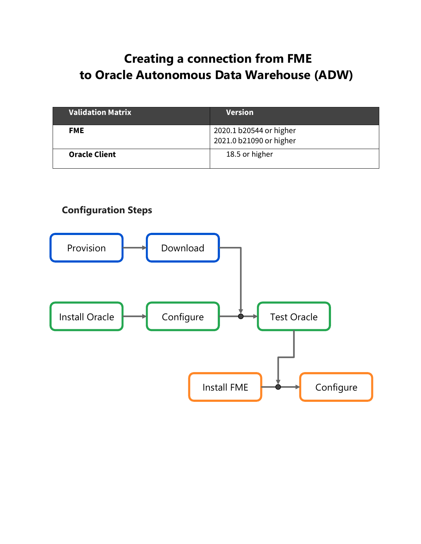# **Creating a connection from FME to Oracle Autonomous Data Warehouse (ADW)**

| <b>Validation Matrix</b> | <b>Version</b>                                     |
|--------------------------|----------------------------------------------------|
| <b>FME</b>               | 2020.1 b20544 or higher<br>2021.0 b21090 or higher |
| <b>Oracle Client</b>     | 18.5 or higher                                     |

## **Configuration Steps**

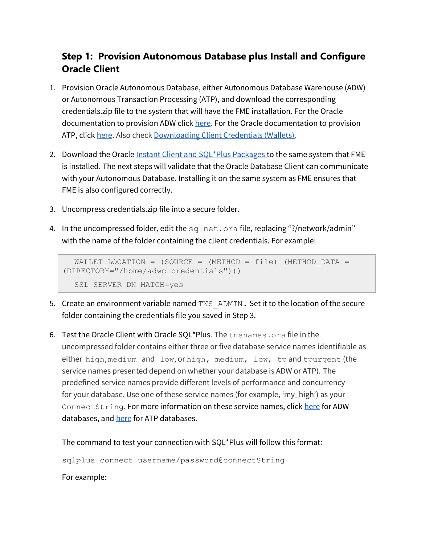## **Step 1: Provision Autonomous Database plus Install and Configure Oracle Client**

- 1. Provision Oracle Autonomous Database, either Autonomous Database Warehouse (ADW) or Autonomous Transaction Processing (ATP), and download the corresponding credentials.zip file to the system that will have the FME installation. For the Oracle documentation to provision ADW click [here.](https://docs.oracle.com/en/cloud/paas/autonomous-data-warehouse-cloud/tutorial-getting-started-autonomous-db-adw/index.html) For the Oracle documentation to provision ATP, click [here.](https://docs.oracle.com/en/cloud/paas/atp-cloud/create.html) Also check [Downloading Client Credentials \(Wallets\).](https://docs.oracle.com/en/cloud/paas/autonomous-data-warehouse-cloud/user/connect-download-wallet.html#GUID-B06202D2-0597-41AA-9481-3B174F75D4B1)
- 2. Download the Oracl[e Instant Client and SQL\\*Plus Packages t](https://www.oracle.com/database/technologies/instant-client/downloads.html)o the same system that FME is installed. The next steps will validate that the Oracle Database Client can communicate with your Autonomous Database. Installing it on the same system as FME ensures that FME is also configured correctly.
- 3. Uncompress credentials.zip file into a secure folder.
- 4. In the uncompressed folder, edit the sqlnet.ora file, replacing "?/network/admin" with the name of the folder containing the client credentials. For example:

```
WALLET LOCATION = (SOURCE = (METHOD = file) (METHOD DATA =
(DIRECTORY="/home/adwc_credentials")))
  SSL_SERVER_DN_MATCH=yes
```
- 5. Create an environment variable named TNS ADMIN. Set it to the location of the secure folder containing the credentials file you saved in Step 3.
- 6. Test the Oracle Client with Oracle SQL\*Plus. The tnsnames.ora file in the uncompressed folder contains either three or five database service names identifiable as either high, medium and low, or high, medium, low, tp and tpurgent (the service names presented depend on whether your database is ADW or ATP). The predefined service names provide different levels of performance and concurrency for your database. Use one of these service names (for example, 'my\_high') as your ConnectString. For more information on these service names, click [here](https://docs.oracle.com/en/cloud/paas/autonomous-data-warehouse-cloud/user/connect-predefined.html#GUID-9747539B-FD46-44F1-8FF8-F5AC650F15BE) for ADW databases, and [here](https://docs.oracle.com/en/cloud/paas/atp-cloud/atpug/connect-predefined.html#GUID-9747539B-FD46-44F1-8FF8-F5AC650F15BE) for ATP databases.

<span id="page-1-0"></span>The command to test your connection with SQL\*Plus will follow this format:

sqlplus connect username/password@connectString

For example: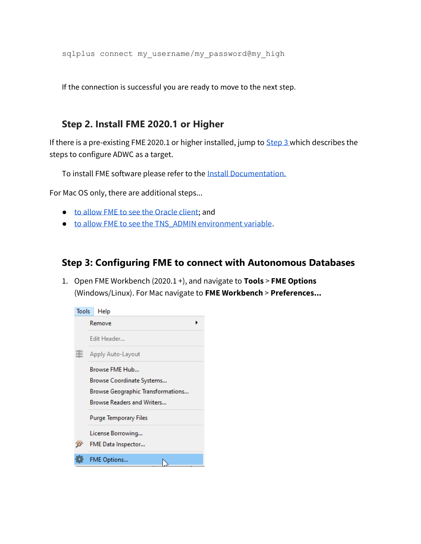sqlplus connect my username/my password@my high

If the connection is successful you are ready to move to the next step.

### **Step 2. Install FME 2020.1 or Higher**

If there is a pre-existing FME 2020.1 or higher installed, jump to  $Step 3$  which describes the steps to configure ADWC as a target.

To install FME software please refer to the [Install Documentation.](https://www.safe.com/support/downloads/)

For Mac OS only, there are additional steps...

- [to allow FME to see the Oracle client;](https://knowledge.safe.com/articles/110820/mac-os-catalina-fme-2020-and-oracle-client.html) and
- [to allow FME to see the TNS\\_ADMIN environment variable](https://knowledge.safe.com/articles/114909/fme-macos-and-the-oracle-client-a-tip-for-setting.html).

### <span id="page-2-0"></span>**Step 3: Configuring FME to connect with Autonomous Databases**

1. Open FME Workbench (2020.1 +), and navigate to **Tools** > **FME Options**  (Windows/Linux). For Mac navigate to **FME Workbench** > **Preferences...**

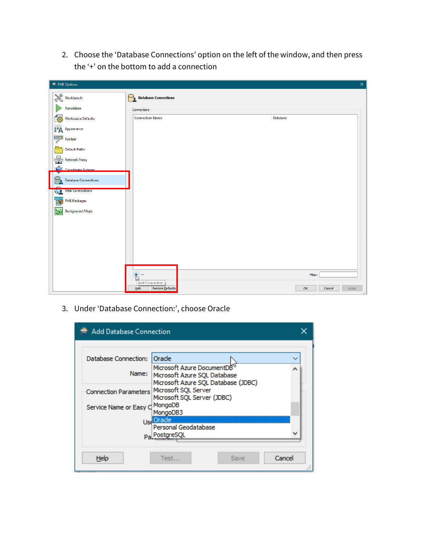2. Choose the 'Database Connections' option on the left of the window, and then press the '+' on the bottom to add a connection

| FME Options                          |                                  | $\times$              |
|--------------------------------------|----------------------------------|-----------------------|
| $\mathbb{X}$ Workbench               | ۲<br><b>Database Connections</b> |                       |
| Translation                          | Connections                      |                       |
| <b>ECO</b> Workspace Defaults        | <b>Connection Name</b>           | Database              |
| <b>FA</b> Appearance                 |                                  |                       |
| Toolbar                              |                                  |                       |
| <b>Default Paths</b>                 |                                  |                       |
| Network Proxy                        |                                  |                       |
| Coordinate Systems                   |                                  |                       |
| <b>Database Connections</b>          |                                  |                       |
| <b>Web Connections</b><br><b>ASS</b> |                                  |                       |
| <b>EME Packages</b>                  |                                  |                       |
| 닟<br><b>Background Maps</b>          |                                  |                       |
|                                      |                                  |                       |
|                                      |                                  |                       |
|                                      |                                  |                       |
|                                      |                                  |                       |
|                                      |                                  |                       |
|                                      |                                  | Filter:               |
|                                      | <b>Add Connection</b>            |                       |
|                                      | Help<br>Restore Defaults         | OK<br>Apply<br>Cancel |

3. Under 'Database Connection:', choose Oracle

| <b>Add Database Connection</b> |                                                                                                   |        |
|--------------------------------|---------------------------------------------------------------------------------------------------|--------|
|                                |                                                                                                   |        |
| Database Connection:           | Orade                                                                                             |        |
| Name:                          | Microsoft Azure DocumentDB<br>Microsoft Azure SQL Database<br>Microsoft Azure SQL Database (JDBC) |        |
| <b>Connection Parameters</b>   | Microsoft SQL Server<br>Microsoft SQL Server (JDBC)                                               |        |
| Service Name or Easy C         | MongoDB<br>MongoDB3                                                                               |        |
|                                | <b>UseOracle</b>                                                                                  |        |
|                                | Personal Geodatabase<br>Pa PostgreSQL                                                             |        |
| Help                           | Test<br>Save                                                                                      | Cancel |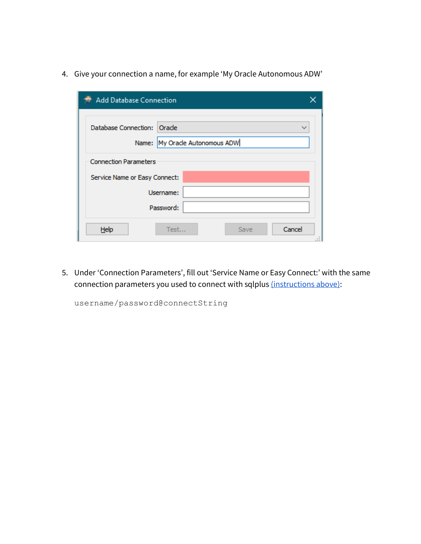4. Give your connection a name, for example 'My Oracle Autonomous ADW'

| <b>Add Database Connection</b>                                |        |
|---------------------------------------------------------------|--------|
| Database Connection: Oracle<br>Name: My Oracle Autonomous ADW |        |
| <b>Connection Parameters</b>                                  |        |
| Service Name or Easy Connect:                                 |        |
| Username:                                                     |        |
| Password:                                                     |        |
| Help<br>Test<br>Save                                          | Cancel |

5. Under 'Connection Parameters', fill out 'Service Name or Easy Connect:' with the same connection parameters you used to connect with sqlplus [\(instructions above\):](#page-1-0)